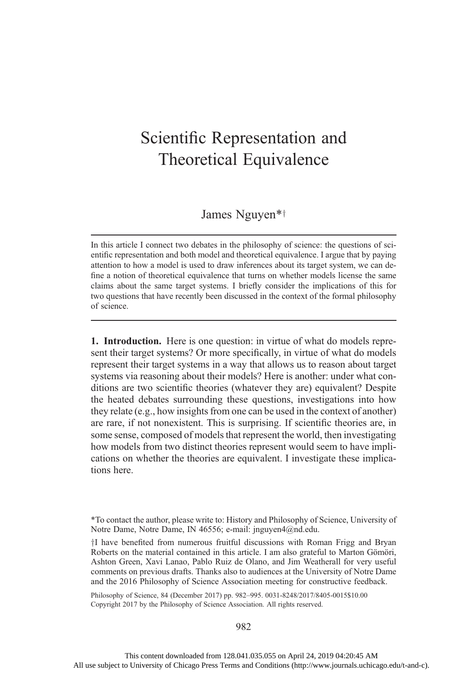# Scientific Representation and Theoretical Equivalence

# James Nguyen\*†

In this article I connect two debates in the philosophy of science: the questions of scientific representation and both model and theoretical equivalence. I argue that by paying attention to how a model is used to draw inferences about its target system, we can define a notion of theoretical equivalence that turns on whether models license the same claims about the same target systems. I briefly consider the implications of this for two questions that have recently been discussed in the context of the formal philosophy of science.

1. Introduction. Here is one question: in virtue of what do models represent their target systems? Or more specifically, in virtue of what do models represent their target systems in a way that allows us to reason about target systems via reasoning about their models? Here is another: under what conditions are two scientific theories (whatever they are) equivalent? Despite the heated debates surrounding these questions, investigations into how they relate (e.g., how insights from one can be used in the context of another) are rare, if not nonexistent. This is surprising. If scientific theories are, in some sense, composed of models that represent the world, then investigating how models from two distinct theories represent would seem to have implications on whether the theories are equivalent. I investigate these implications here.

 $\frac{1}{1}$ I have benefited from numerous fruitful discussions with Roman Frigg and Bryan Roberts on the material contained in this article. I am also grateful to Marton Gömöri, Ashton Green, Xavi Lanao, Pablo Ruiz de Olano, and Jim Weatherall for very useful comments on previous drafts. Thanks also to audiences at the University of Notre Dame and the 2016 Philosophy of Science Association meeting for constructive feedback.

Philosophy of Science, 84 (December 2017) pp. 982–995. 0031-8248/2017/8405-0015\$10.00 Copyright 2017 by the Philosophy of Science Association. All rights reserved.

982

<sup>\*</sup>To contact the author, please write to: History and Philosophy of Science, University of Notre Dame, Notre Dame, IN 46556; e-mail: jnguyen4@nd.edu.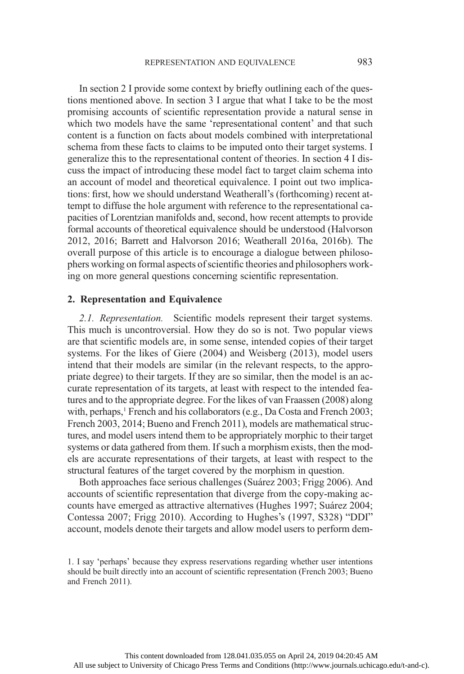In section 2 I provide some context by briefly outlining each of the questions mentioned above. In section 3 I argue that what I take to be the most promising accounts of scientific representation provide a natural sense in which two models have the same 'representational content' and that such content is a function on facts about models combined with interpretational schema from these facts to claims to be imputed onto their target systems. I generalize this to the representational content of theories. In section 4 I discuss the impact of introducing these model fact to target claim schema into an account of model and theoretical equivalence. I point out two implications: first, how we should understand Weatherall's (forthcoming) recent attempt to diffuse the hole argument with reference to the representational capacities of Lorentzian manifolds and, second, how recent attempts to provide formal accounts of theoretical equivalence should be understood (Halvorson 2012, 2016; Barrett and Halvorson 2016; Weatherall 2016a, 2016b). The overall purpose of this article is to encourage a dialogue between philosophers working on formal aspects of scientific theories and philosophers working on more general questions concerning scientific representation.

#### 2. Representation and Equivalence

2.1. Representation. Scientific models represent their target systems. This much is uncontroversial. How they do so is not. Two popular views are that scientific models are, in some sense, intended copies of their target systems. For the likes of Giere (2004) and Weisberg (2013), model users intend that their models are similar (in the relevant respects, to the appropriate degree) to their targets. If they are so similar, then the model is an accurate representation of its targets, at least with respect to the intended features and to the appropriate degree. For the likes of van Fraassen (2008) along with, perhaps,<sup>1</sup> French and his collaborators (e.g., Da Costa and French 2003; French 2003, 2014; Bueno and French 2011), models are mathematical structures, and model users intend them to be appropriately morphic to their target systems or data gathered from them. If such a morphism exists, then the models are accurate representations of their targets, at least with respect to the structural features of the target covered by the morphism in question.

Both approaches face serious challenges (Suárez 2003; Frigg 2006). And accounts of scientific representation that diverge from the copy-making accounts have emerged as attractive alternatives (Hughes 1997; Suárez 2004; Contessa 2007; Frigg 2010). According to Hughes's (1997, S328) "DDI" account, models denote their targets and allow model users to perform dem-

<sup>1.</sup> I say 'perhaps' because they express reservations regarding whether user intentions should be built directly into an account of scientific representation (French 2003; Bueno and French 2011).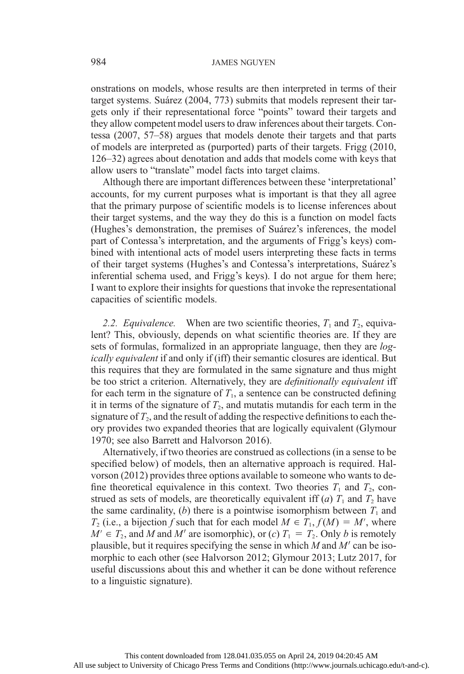## 984 JAMES NGUYEN

onstrations on models, whose results are then interpreted in terms of their target systems. Suárez (2004, 773) submits that models represent their targets only if their representational force "points" toward their targets and they allow competent model users to draw inferences about their targets. Contessa (2007, 57–58) argues that models denote their targets and that parts of models are interpreted as (purported) parts of their targets. Frigg (2010, 126–32) agrees about denotation and adds that models come with keys that allow users to "translate" model facts into target claims.

Although there are important differences between these 'interpretational' accounts, for my current purposes what is important is that they all agree that the primary purpose of scientific models is to license inferences about their target systems, and the way they do this is a function on model facts (Hughes's demonstration, the premises of Suárez's inferences, the model part of Contessa's interpretation, and the arguments of Frigg's keys) combined with intentional acts of model users interpreting these facts in terms of their target systems (Hughes's and Contessa's interpretations, Suárez's inferential schema used, and Frigg's keys). I do not argue for them here; I want to explore their insights for questions that invoke the representational capacities of scientific models.

2.2. *Equivalence*. When are two scientific theories,  $T_1$  and  $T_2$ , equivalent? This, obviously, depends on what scientific theories are. If they are sets of formulas, formalized in an appropriate language, then they are *log*ically equivalent if and only if (iff) their semantic closures are identical. But this requires that they are formulated in the same signature and thus might be too strict a criterion. Alternatively, they are *definitionally equivalent* iff for each term in the signature of  $T_1$ , a sentence can be constructed defining it in terms of the signature of  $T_2$ , and mutatis mutandis for each term in the signature of  $T_2$ , and the result of adding the respective definitions to each theory provides two expanded theories that are logically equivalent (Glymour 1970; see also Barrett and Halvorson 2016).

Alternatively, if two theories are construed as collections (in a sense to be specified below) of models, then an alternative approach is required. Halvorson (2012) provides three options available to someone who wants to define theoretical equivalence in this context. Two theories  $T_1$  and  $T_2$ , construed as sets of models, are theoretically equivalent iff (a)  $T_1$  and  $T_2$  have the same cardinality, (b) there is a pointwise isomorphism between  $T_1$  and  $T_2$  (i.e., a bijection f such that for each model  $M \in T_1$ ,  $f(M) = M'$ , where  $M' \in T_2$ , and M and M' are isomorphic), or (c)  $T_1 = T_2$ . Only b is remotely plausible, but it requires specifying the sense in which  $M$  and  $M'$  can be isomorphic to each other (see Halvorson 2012; Glymour 2013; Lutz 2017, for useful discussions about this and whether it can be done without reference to a linguistic signature).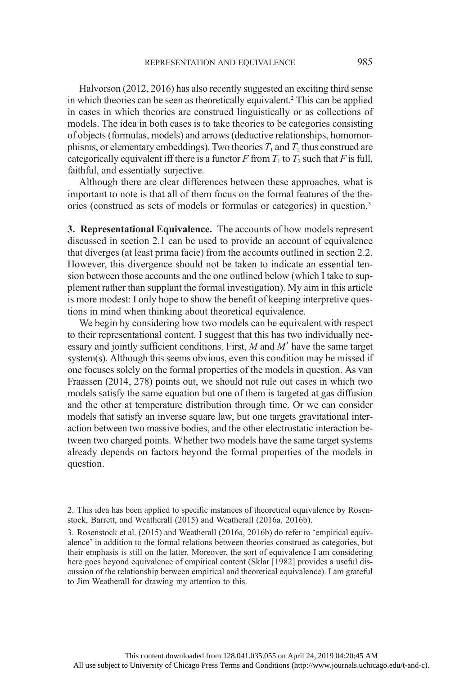Halvorson (2012, 2016) has also recently suggested an exciting third sense in which theories can be seen as theoretically equivalent.2 This can be applied in cases in which theories are construed linguistically or as collections of models. The idea in both cases is to take theories to be categories consisting of objects (formulas, models) and arrows (deductive relationships, homomorphisms, or elementary embeddings). Two theories  $T_1$  and  $T_2$  thus construed are categorically equivalent iff there is a functor F from  $T_1$  to  $T_2$  such that F is full, faithful, and essentially surjective.

Although there are clear differences between these approaches, what is important to note is that all of them focus on the formal features of the theories (construed as sets of models or formulas or categories) in question.3

3. Representational Equivalence. The accounts of how models represent discussed in section 2.1 can be used to provide an account of equivalence that diverges (at least prima facie) from the accounts outlined in section 2.2. However, this divergence should not be taken to indicate an essential tension between those accounts and the one outlined below (which I take to supplement rather than supplant the formal investigation). My aim in this article is more modest: I only hope to show the benefit of keeping interpretive questions in mind when thinking about theoretical equivalence.

We begin by considering how two models can be equivalent with respect to their representational content. I suggest that this has two individually necessary and jointly sufficient conditions. First,  $M$  and  $M'$  have the same target system(s). Although this seems obvious, even this condition may be missed if one focuses solely on the formal properties of the models in question. As van Fraassen (2014, 278) points out, we should not rule out cases in which two models satisfy the same equation but one of them is targeted at gas diffusion and the other at temperature distribution through time. Or we can consider models that satisfy an inverse square law, but one targets gravitational interaction between two massive bodies, and the other electrostatic interaction between two charged points. Whether two models have the same target systems already depends on factors beyond the formal properties of the models in question.

<sup>2.</sup> This idea has been applied to specific instances of theoretical equivalence by Rosenstock, Barrett, and Weatherall (2015) and Weatherall (2016a, 2016b).

<sup>3.</sup> Rosenstock et al. (2015) and Weatherall (2016a, 2016b) do refer to 'empirical equivalence' in addition to the formal relations between theories construed as categories, but their emphasis is still on the latter. Moreover, the sort of equivalence I am considering here goes beyond equivalence of empirical content (Sklar [1982] provides a useful discussion of the relationship between empirical and theoretical equivalence). I am grateful to Jim Weatherall for drawing my attention to this.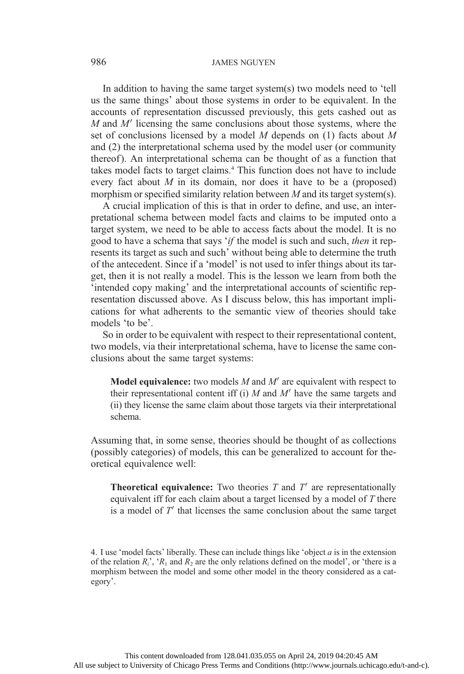## 986 JAMES NGUYEN

In addition to having the same target system(s) two models need to 'tell us the same things' about those systems in order to be equivalent. In the accounts of representation discussed previously, this gets cashed out as  $M$  and  $M'$  licensing the same conclusions about those systems, where the set of conclusions licensed by a model  $M$  depends on (1) facts about  $M$ and (2) the interpretational schema used by the model user (or community thereof ). An interpretational schema can be thought of as a function that takes model facts to target claims.4 This function does not have to include every fact about  $M$  in its domain, nor does it have to be a (proposed) morphism or specified similarity relation between  $M$  and its target system(s).

A crucial implication of this is that in order to define, and use, an interpretational schema between model facts and claims to be imputed onto a target system, we need to be able to access facts about the model. It is no good to have a schema that says 'if the model is such and such, then it represents its target as such and such' without being able to determine the truth of the antecedent. Since if a 'model' is not used to infer things about its target, then it is not really a model. This is the lesson we learn from both the 'intended copy making' and the interpretational accounts of scientific representation discussed above. As I discuss below, this has important implications for what adherents to the semantic view of theories should take models 'to be'.

So in order to be equivalent with respect to their representational content, two models, via their interpretational schema, have to license the same conclusions about the same target systems:

**Model equivalence:** two models M and  $M'$  are equivalent with respect to their representational content iff (i)  $M$  and  $M'$  have the same targets and (ii) they license the same claim about those targets via their interpretational schema.

Assuming that, in some sense, theories should be thought of as collections (possibly categories) of models, this can be generalized to account for theoretical equivalence well:

**Theoretical equivalence:** Two theories  $T$  and  $T'$  are representationally equivalent iff for each claim about a target licensed by a model of  $T$  there is a model of  $T<sup>'</sup>$  that licenses the same conclusion about the same target

<sup>4.</sup> I use 'model facts' liberally. These can include things like 'object  $a$  is in the extension of the relation  $R_i'$ , ' $R_1$  and  $R_2$  are the only relations defined on the model', or 'there is a morphism between the model and some other model in the theory considered as a category'.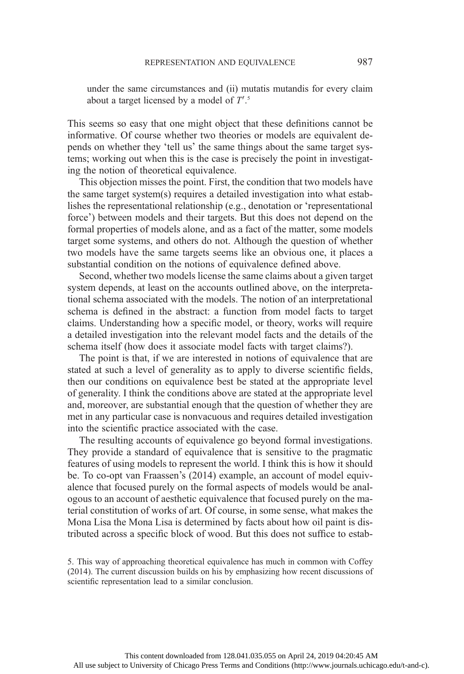under the same circumstances and (ii) mutatis mutandis for every claim about a target licensed by a model of  $T^{\prime}$ .<sup>5</sup>

This seems so easy that one might object that these definitions cannot be informative. Of course whether two theories or models are equivalent depends on whether they 'tell us' the same things about the same target systems; working out when this is the case is precisely the point in investigating the notion of theoretical equivalence.

This objection misses the point. First, the condition that two models have the same target system(s) requires a detailed investigation into what establishes the representational relationship (e.g., denotation or 'representational force') between models and their targets. But this does not depend on the formal properties of models alone, and as a fact of the matter, some models target some systems, and others do not. Although the question of whether two models have the same targets seems like an obvious one, it places a substantial condition on the notions of equivalence defined above.

Second, whether two models license the same claims about a given target system depends, at least on the accounts outlined above, on the interpretational schema associated with the models. The notion of an interpretational schema is defined in the abstract: a function from model facts to target claims. Understanding how a specific model, or theory, works will require a detailed investigation into the relevant model facts and the details of the schema itself (how does it associate model facts with target claims?).

The point is that, if we are interested in notions of equivalence that are stated at such a level of generality as to apply to diverse scientific fields, then our conditions on equivalence best be stated at the appropriate level of generality. I think the conditions above are stated at the appropriate level and, moreover, are substantial enough that the question of whether they are met in any particular case is nonvacuous and requires detailed investigation into the scientific practice associated with the case.

The resulting accounts of equivalence go beyond formal investigations. They provide a standard of equivalence that is sensitive to the pragmatic features of using models to represent the world. I think this is how it should be. To co-opt van Fraassen's (2014) example, an account of model equivalence that focused purely on the formal aspects of models would be analogous to an account of aesthetic equivalence that focused purely on the material constitution of works of art. Of course, in some sense, what makes the Mona Lisa the Mona Lisa is determined by facts about how oil paint is distributed across a specific block of wood. But this does not suffice to estab-

5. This way of approaching theoretical equivalence has much in common with Coffey (2014). The current discussion builds on his by emphasizing how recent discussions of scientific representation lead to a similar conclusion.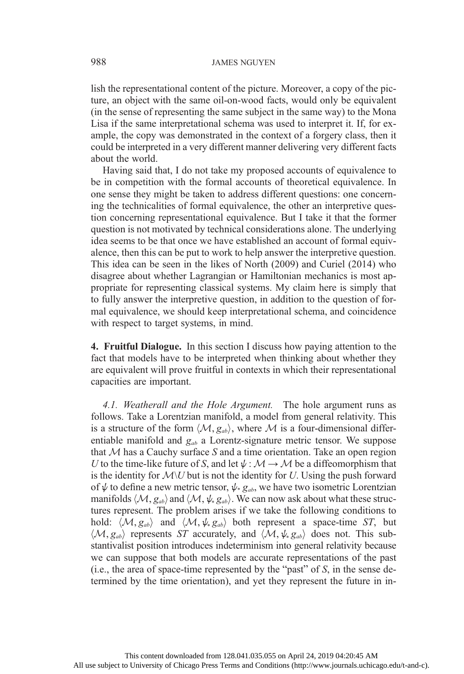lish the representational content of the picture. Moreover, a copy of the picture, an object with the same oil-on-wood facts, would only be equivalent (in the sense of representing the same subject in the same way) to the Mona Lisa if the same interpretational schema was used to interpret it. If, for example, the copy was demonstrated in the context of a forgery class, then it could be interpreted in a very different manner delivering very different facts about the world.

Having said that, I do not take my proposed accounts of equivalence to be in competition with the formal accounts of theoretical equivalence. In one sense they might be taken to address different questions: one concerning the technicalities of formal equivalence, the other an interpretive question concerning representational equivalence. But I take it that the former question is not motivated by technical considerations alone. The underlying idea seems to be that once we have established an account of formal equivalence, then this can be put to work to help answer the interpretive question. This idea can be seen in the likes of North (2009) and Curiel (2014) who disagree about whether Lagrangian or Hamiltonian mechanics is most appropriate for representing classical systems. My claim here is simply that to fully answer the interpretive question, in addition to the question of formal equivalence, we should keep interpretational schema, and coincidence with respect to target systems, in mind.

4. Fruitful Dialogue. In this section I discuss how paying attention to the fact that models have to be interpreted when thinking about whether they are equivalent will prove fruitful in contexts in which their representational capacities are important.

4.1. Weatherall and the Hole Argument. The hole argument runs as follows. Take a Lorentzian manifold, a model from general relativity. This is a structure of the form  $\langle M, g_{ab} \rangle$ , where M is a four-dimensional differentiable manifold and  $g_{ab}$  a Lorentz-signature metric tensor. We suppose that  $M$  has a Cauchy surface  $S$  and a time orientation. Take an open region U to the time-like future of S, and let  $\psi : \mathcal{M} \to \mathcal{M}$  be a diffeomorphism that is the identity for  $\mathcal{M}\setminus U$  but is not the identity for U. Using the push forward of  $\psi$  to define a new metric tensor,  $\psi_* g_{ab}$ , we have two isometric Lorentzian manifolds  $\langle M, g_{ab} \rangle$  and  $\langle M, \psi_* g_{ab} \rangle$ . We can now ask about what these structures represent. The problem arises if we take the following conditions to hold:  $\langle M, g_{ab} \rangle$  and  $\langle M, \psi_* g_{ab} \rangle$  both represent a space-time ST, but  $\langle M, g_{ab} \rangle$  represents ST accurately, and  $\langle M, \psi_* g_{ab} \rangle$  does not. This substantivalist position introduces indeterminism into general relativity because we can suppose that both models are accurate representations of the past (i.e., the area of space-time represented by the "past" of  $S$ , in the sense determined by the time orientation), and yet they represent the future in in-

This content downloaded from 128.041.035.055 on April 24, 2019 04:20:45 AM All use subject to University of Chicago Press Terms and Conditions (http://www.journals.uchicago.edu/t-and-c).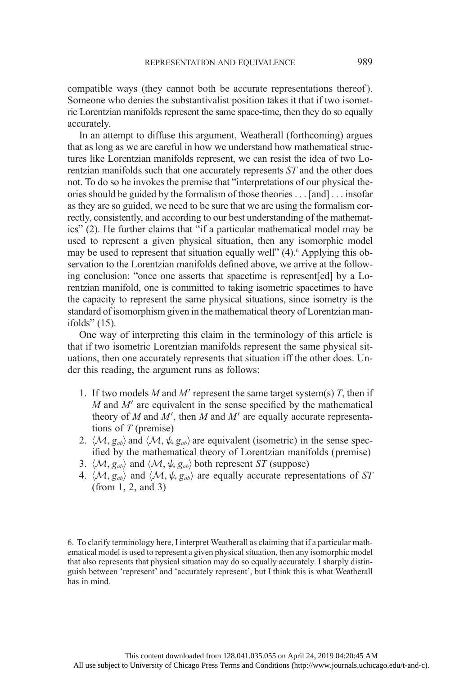compatible ways (they cannot both be accurate representations thereof ). Someone who denies the substantivalist position takes it that if two isometric Lorentzian manifolds represent the same space-time, then they do so equally accurately.

In an attempt to diffuse this argument, Weatherall (forthcoming) argues that as long as we are careful in how we understand how mathematical structures like Lorentzian manifolds represent, we can resist the idea of two Lorentzian manifolds such that one accurately represents ST and the other does not. To do so he invokes the premise that "interpretations of our physical theories should be guided by the formalism of those theories . . . [and] . . . insofar as they are so guided, we need to be sure that we are using the formalism correctly, consistently, and according to our best understanding of the mathematics" (2). He further claims that "if a particular mathematical model may be used to represent a given physical situation, then any isomorphic model may be used to represent that situation equally well" (4).<sup>6</sup> Applying this observation to the Lorentzian manifolds defined above, we arrive at the following conclusion: "once one asserts that spacetime is represent[ed] by a Lorentzian manifold, one is committed to taking isometric spacetimes to have the capacity to represent the same physical situations, since isometry is the standard of isomorphism given in the mathematical theory of Lorentzian manifolds" (15).

One way of interpreting this claim in the terminology of this article is that if two isometric Lorentzian manifolds represent the same physical situations, then one accurately represents that situation iff the other does. Under this reading, the argument runs as follows:

- 1. If two models M and M' represent the same target system(s) T, then if  $M$  and  $M'$  are equivalent in the sense specified by the mathematical theory of M and M', then M and M' are equally accurate representations of  $T$  (premise)
- 2.  $\langle M, g_{ab} \rangle$  and  $\langle M, \psi_* g_{ab} \rangle$  are equivalent (isometric) in the sense specified by the mathematical theory of Lorentzian manifolds (premise)
- 3.  $\langle M, g_{ab} \rangle$  and  $\langle M, \psi_{*} g_{ab} \rangle$  both represent ST (suppose)<br>4.  $\langle M, \sigma \rangle$  and  $\langle M, \psi, \sigma \rangle$  are equally accurate repres
- 4.  $\langle M, g_{ab} \rangle$  and  $\langle M, \psi_* g_{ab} \rangle$  are equally accurate representations of ST (from 1.2 and 3) (from 1, 2, and 3)

6. To clarify terminology here, I interpret Weatherall as claiming that if a particular mathematical model is used to represent a given physical situation, then any isomorphic model that also represents that physical situation may do so equally accurately. I sharply distinguish between 'represent' and 'accurately represent', but I think this is what Weatherall has in mind.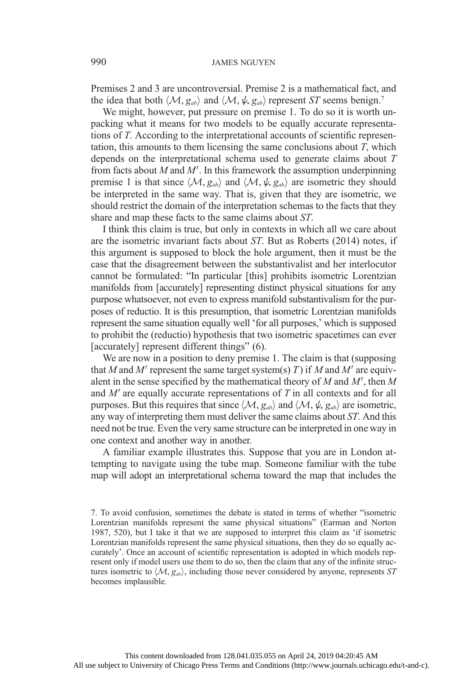Premises 2 and 3 are uncontroversial. Premise 2 is a mathematical fact, and the idea that both  $\langle \mathcal{M}, g_{ab} \rangle$  and  $\langle \mathcal{M}, \psi_* g_{ab} \rangle$  represent ST seems benign.<sup>7</sup>

We might, however, put pressure on premise 1. To do so it is worth unpacking what it means for two models to be equally accurate representations of T. According to the interpretational accounts of scientific representation, this amounts to them licensing the same conclusions about  $T$ , which depends on the interpretational schema used to generate claims about T from facts about M and  $M'$ . In this framework the assumption underpinning premise 1 is that since  $\langle M, g_{ab} \rangle$  and  $\langle M, \psi_* g_{ab} \rangle$  are isometric they should be interpreted in the same way. That is, given that they are isometric, we should restrict the domain of the interpretation schemas to the facts that they share and map these facts to the same claims about ST.

I think this claim is true, but only in contexts in which all we care about are the isometric invariant facts about ST. But as Roberts (2014) notes, if this argument is supposed to block the hole argument, then it must be the case that the disagreement between the substantivalist and her interlocutor cannot be formulated: "In particular [this] prohibits isometric Lorentzian manifolds from [accurately] representing distinct physical situations for any purpose whatsoever, not even to express manifold substantivalism for the purposes of reductio. It is this presumption, that isometric Lorentzian manifolds represent the same situation equally well 'for all purposes,' which is supposed to prohibit the (reductio) hypothesis that two isometric spacetimes can ever [accurately] represent different things" (6).

We are now in a position to deny premise 1. The claim is that (supposing that M and M' represent the same target system(s) T) if M and M' are equivalent in the sense specified by the mathematical theory of  $M$  and  $M'$ , then  $M$ and  $M'$  are equally accurate representations of T in all contexts and for all purposes. But this requires that since  $\langle \mathcal{M}, g_{ab} \rangle$  and  $\langle \mathcal{M}, \psi_* g_{ab} \rangle$  are isometric, any way of interpreting them must deliver the same claims about ST. And this need not be true. Even the very same structure can be interpreted in one way in one context and another way in another.

A familiar example illustrates this. Suppose that you are in London attempting to navigate using the tube map. Someone familiar with the tube map will adopt an interpretational schema toward the map that includes the

<sup>7.</sup> To avoid confusion, sometimes the debate is stated in terms of whether "isometric Lorentzian manifolds represent the same physical situations" (Earman and Norton 1987, 520), but I take it that we are supposed to interpret this claim as 'if isometric Lorentzian manifolds represent the same physical situations, then they do so equally accurately'. Once an account of scientific representation is adopted in which models represent only if model users use them to do so, then the claim that any of the infinite structures isometric to  $\langle M, g_{ab}\rangle$ , including those never considered by anyone, represents ST becomes implausible.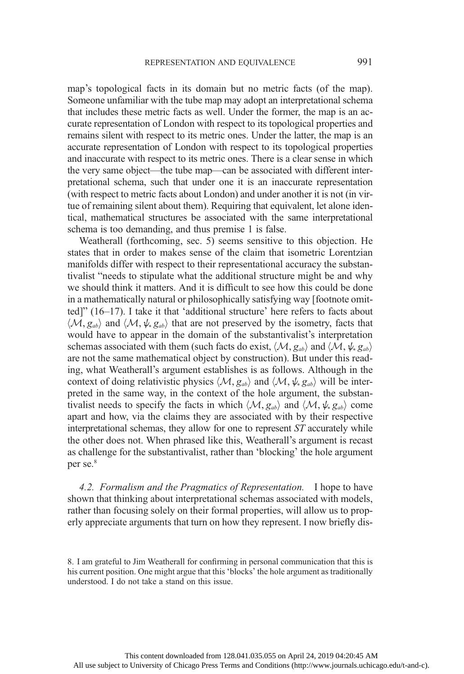map's topological facts in its domain but no metric facts (of the map). Someone unfamiliar with the tube map may adopt an interpretational schema that includes these metric facts as well. Under the former, the map is an accurate representation of London with respect to its topological properties and remains silent with respect to its metric ones. Under the latter, the map is an accurate representation of London with respect to its topological properties and inaccurate with respect to its metric ones. There is a clear sense in which the very same object—the tube map—can be associated with different interpretational schema, such that under one it is an inaccurate representation (with respect to metric facts about London) and under another it is not (in virtue of remaining silent about them). Requiring that equivalent, let alone identical, mathematical structures be associated with the same interpretational schema is too demanding, and thus premise 1 is false.

Weatherall (forthcoming, sec. 5) seems sensitive to this objection. He states that in order to makes sense of the claim that isometric Lorentzian manifolds differ with respect to their representational accuracy the substantivalist "needs to stipulate what the additional structure might be and why we should think it matters. And it is difficult to see how this could be done in a mathematically natural or philosophically satisfying way [footnote omitted]" (16–17). I take it that 'additional structure' here refers to facts about  $\langle M, g_{ab} \rangle$  and  $\langle M, \psi, g_{ab} \rangle$  that are not preserved by the isometry, facts that would have to appear in the domain of the substantivalist's interpretation schemas associated with them (such facts do exist,  $\langle M, g_{ab} \rangle$  and  $\langle M, \psi, g_{ab} \rangle$ are not the same mathematical object by construction). But under this reading, what Weatherall's argument establishes is as follows. Although in the context of doing relativistic physics  $\langle M, g_{ab} \rangle$  and  $\langle M, \psi, g_{ab} \rangle$  will be interpreted in the same way, in the context of the hole argument, the substantivalist needs to specify the facts in which  $\langle M, g_{ab} \rangle$  and  $\langle M, \psi_* g_{ab} \rangle$  come apart and how, via the claims they are associated with by their respective interpretational schemas, they allow for one to represent ST accurately while the other does not. When phrased like this, Weatherall's argument is recast as challenge for the substantivalist, rather than 'blocking' the hole argument per se.<sup>8</sup>

4.2. Formalism and the Pragmatics of Representation. I hope to have shown that thinking about interpretational schemas associated with models, rather than focusing solely on their formal properties, will allow us to properly appreciate arguments that turn on how they represent. I now briefly dis-

<sup>8.</sup> I am grateful to Jim Weatherall for confirming in personal communication that this is his current position. One might argue that this 'blocks' the hole argument as traditionally understood. I do not take a stand on this issue.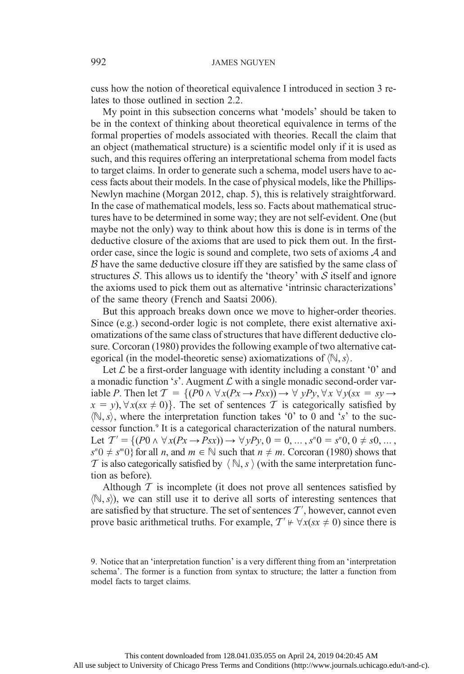cuss how the notion of theoretical equivalence I introduced in section 3 relates to those outlined in section 2.2.

My point in this subsection concerns what 'models' should be taken to be in the context of thinking about theoretical equivalence in terms of the formal properties of models associated with theories. Recall the claim that an object (mathematical structure) is a scientific model only if it is used as such, and this requires offering an interpretational schema from model facts to target claims. In order to generate such a schema, model users have to access facts about their models. In the case of physical models, like the Phillips-Newlyn machine (Morgan 2012, chap. 5), this is relatively straightforward. In the case of mathematical models, less so. Facts about mathematical structures have to be determined in some way; they are not self-evident. One (but maybe not the only) way to think about how this is done is in terms of the deductive closure of the axioms that are used to pick them out. In the firstorder case, since the logic is sound and complete, two sets of axioms A and  $\beta$  have the same deductive closure iff they are satisfied by the same class of structures  $S$ . This allows us to identify the 'theory' with  $S$  itself and ignore the axioms used to pick them out as alternative 'intrinsic characterizations' of the same theory (French and Saatsi 2006).

But this approach breaks down once we move to higher-order theories. Since (e.g.) second-order logic is not complete, there exist alternative axiomatizations of the same class of structures that have different deductive closure. Corcoran (1980) provides the following example of two alternative categorical (in the model-theoretic sense) axiomatizations of  $\langle N, s \rangle$ .

Let  $\mathcal L$  be a first-order language with identity including a constant '0' and a monadic function 's'. Augment  $\mathcal L$  with a single monadic second-order variable P. Then let  $T = \{(P0 \land \forall x(Px \rightarrow Psx)) \rightarrow \forall yPy, \forall x \forall y(sx = sy \rightarrow$  $x = y$ ,  $\forall x(sx \neq 0)$ . The set of sentences T is categorically satisfied by  $\langle \mathbb{N}, s \rangle$ , where the interpretation function takes '0' to 0 and 's' to the successor function.9 It is a categorical characterization of the natural numbers. Let  $T' = \{(P0 \land \forall x(Px \rightarrow Psx)) \rightarrow \forall yPy, 0 = 0, ..., s^n 0 = s^n 0, 0 \neq s0, ...,$ <br> $s^n 0 \neq s^m 0\}$  for all *n* and *m*  $\in \mathbb{N}$  such that *n*  $\neq m$  Corcoran (1980) shows that  $s^n 0 \neq s^m 0$ } for all *n*, and  $m \in \mathbb{N}$  such that  $n \neq m$ . Corcoran (1980) shows that  $\mathcal T$  is also categorically satisfied by  $\langle \mathbb N, s \rangle$  (with the same interpretation function as before).

Although  $T$  is incomplete (it does not prove all sentences satisfied by  $(N, s)$ , we can still use it to derive all sorts of interesting sentences that are satisfied by that structure. The set of sentences T', however, cannot even<br>prove basic arithmetical truths. For example  $T' \nvDash \forall x(x \neq 0)$  since there is prove basic arithmetical truths. For example,  $T' \nvDash \forall x (sx \neq 0)$  since there is

<sup>9.</sup> Notice that an 'interpretation function' is a very different thing from an 'interpretation schema'. The former is a function from syntax to structure; the latter a function from model facts to target claims.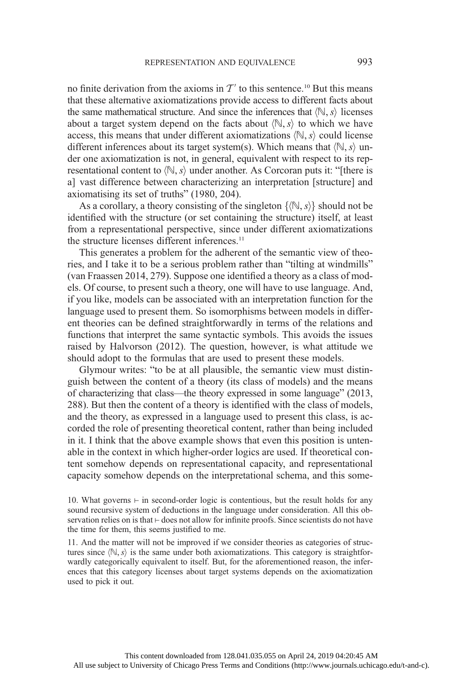no finite derivation from the axioms in  $T'$  to this sentence.<sup>10</sup> But this means<br>that these alternative axiomatizations provide access to different facts about that these alternative axiomatizations provide access to different facts about the same mathematical structure. And since the inferences that  $\langle \mathbb{N}, s \rangle$  licenses about a target system depend on the facts about  $\langle N, s \rangle$  to which we have access, this means that under different axiomatizations  $\langle \mathbb{N}, s \rangle$  could license different inferences about its target system(s). Which means that  $\langle \mathbb{N}, s \rangle$  under one axiomatization is not, in general, equivalent with respect to its representational content to  $\langle \mathbb{N}, s \rangle$  under another. As Corcoran puts it: "[there is a] vast difference between characterizing an interpretation [structure] and axiomatising its set of truths" (1980, 204).

As a corollary, a theory consisting of the singleton  $\{\langle \mathbb{N}, s \rangle\}$  should not be identified with the structure (or set containing the structure) itself, at least from a representational perspective, since under different axiomatizations the structure licenses different inferences.<sup>11</sup>

This generates a problem for the adherent of the semantic view of theories, and I take it to be a serious problem rather than "tilting at windmills" (van Fraassen 2014, 279). Suppose one identified a theory as a class of models. Of course, to present such a theory, one will have to use language. And, if you like, models can be associated with an interpretation function for the language used to present them. So isomorphisms between models in different theories can be defined straightforwardly in terms of the relations and functions that interpret the same syntactic symbols. This avoids the issues raised by Halvorson (2012). The question, however, is what attitude we should adopt to the formulas that are used to present these models.

Glymour writes: "to be at all plausible, the semantic view must distinguish between the content of a theory (its class of models) and the means of characterizing that class—the theory expressed in some language" (2013, 288). But then the content of a theory is identified with the class of models, and the theory, as expressed in a language used to present this class, is accorded the role of presenting theoretical content, rather than being included in it. I think that the above example shows that even this position is untenable in the context in which higher-order logics are used. If theoretical content somehow depends on representational capacity, and representational capacity somehow depends on the interpretational schema, and this some-

11. And the matter will not be improved if we consider theories as categories of structures since  $\langle \mathbb{N}, s \rangle$  is the same under both axiomatizations. This category is straightforwardly categorically equivalent to itself. But, for the aforementioned reason, the inferences that this category licenses about target systems depends on the axiomatization used to pick it out.

<sup>10.</sup> What governs ⊢ in second-order logic is contentious, but the result holds for any sound recursive system of deductions in the language under consideration. All this observation relies on is that ⊢ does not allow for infinite proofs. Since scientists do not have the time for them, this seems justified to me.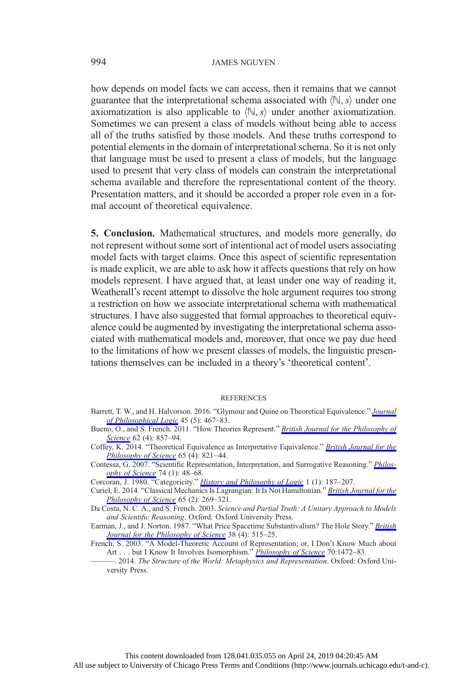how depends on model facts we can access, then it remains that we cannot guarantee that the interpretational schema associated with  $\langle N, s \rangle$  under one axiomatization is also applicable to  $\langle \mathbb{N}, s \rangle$  under another axiomatization. Sometimes we can present a class of models without being able to access all of the truths satisfied by those models. And these truths correspond to potential elements in the domain of interpretational schema. So it is not only that language must be used to present a class of models, but the language used to present that very class of models can constrain the interpretational schema available and therefore the representational content of the theory. Presentation matters, and it should be accorded a proper role even in a formal account of theoretical equivalence.

5. Conclusion. Mathematical structures, and models more generally, do not represent without some sort of intentional act of model users associating model facts with target claims. Once this aspect of scientific representation is made explicit, we are able to ask how it affects questions that rely on how models represent. I have argued that, at least under one way of reading it, Weatherall's recent attempt to dissolve the hole argument requires too strong a restriction on how we associate interpretational schema with mathematical structures. I have also suggested that formal approaches to theoretical equivalence could be augmented by investigating the interpretational schema associated with mathematical models and, moreover, that once we pay due heed to the limitations of how we present classes of models, the linguistic presentations themselves can be included in a theory's 'theoretical content'.

#### REFERENCES

- Barrett, T. W., and H. Halvorson. 2016. "Glymour and Quine on Theoretical Equivalence." [Journal](https://www.journals.uchicago.edu/action/showLinks?doi=10.1086%2F694003&crossref=10.1007%2Fs10992-015-9382-6&citationId=p_14) [of Philosophical Logic](https://www.journals.uchicago.edu/action/showLinks?doi=10.1086%2F694003&crossref=10.1007%2Fs10992-015-9382-6&citationId=p_14) 45 (5): 467–83.
- Bueno, O., and S. French. 2011. "How Theories Represent." [British Journal for the Philosophy of](https://www.journals.uchicago.edu/action/showLinks?doi=10.1086%2F694003&crossref=10.1093%2Fbjps%2Faxr010&citationId=p_15) [Science](https://www.journals.uchicago.edu/action/showLinks?doi=10.1086%2F694003&crossref=10.1093%2Fbjps%2Faxr010&citationId=p_15) 62 (4): 857–94.
- Coffey, K. 2014. "Theoretical Equivalence as Interpretative Equivalence." [British Journal for the](https://www.journals.uchicago.edu/action/showLinks?doi=10.1086%2F694003&crossref=10.1093%2Fbjps%2Faxt034&citationId=p_16) [Philosophy of Science](https://www.journals.uchicago.edu/action/showLinks?doi=10.1086%2F694003&crossref=10.1093%2Fbjps%2Faxt034&citationId=p_16) 65 (4): 821-44.
- Contessa, G. 2007. "Scientific Representation, Interpretation, and Surrogative Reasoning." [Philos](https://www.journals.uchicago.edu/action/showLinks?doi=10.1086%2F694003&system=10.1086%2F519478&citationId=p_17)[ophy of Science](https://www.journals.uchicago.edu/action/showLinks?doi=10.1086%2F694003&system=10.1086%2F519478&citationId=p_17) 74 (1):  $48-\overline{68}$ .
- Corcoran, J. 1980. "Categoricity." [History and Philosophy of Logic](https://www.journals.uchicago.edu/action/showLinks?doi=10.1086%2F694003&crossref=10.1080%2F01445348008837010&citationId=p_18) 1 (1): 187-207.
- Curiel, E. 2014. "Classical Mechanics Is Lagrangian: It Is Not Hamiltonian." [British Journal for the](https://www.journals.uchicago.edu/action/showLinks?doi=10.1086%2F694003&crossref=10.1093%2Fbjps%2Faxs034&citationId=p_19) [Philosophy of Science](https://www.journals.uchicago.edu/action/showLinks?doi=10.1086%2F694003&crossref=10.1093%2Fbjps%2Faxs034&citationId=p_19) 65 (2): 269-321.
- Da Costa, N. C. A., and S. French. 2003. Science and Partial Truth: A Unitary Approach to Models and Scientific Reasoning. Oxford: Oxford University Press.
- Earman, J., and J. Norton. 1987. "What Price Spacetime Substantivalism? The Hole Story." [British](https://www.journals.uchicago.edu/action/showLinks?doi=10.1086%2F694003&crossref=10.1093%2Fbjps%2F38.4.515&citationId=p_21) [Journal for the Philosophy of Science](https://www.journals.uchicago.edu/action/showLinks?doi=10.1086%2F694003&crossref=10.1093%2Fbjps%2F38.4.515&citationId=p_21) 38 (4): 515-25.
- French, S. 2003. "A Model-Theoretic Account of Representation; or, I Don't Know Much about Art . . . but I Know It Involves Isomorphism." *[Philosophy of Science](https://www.journals.uchicago.edu/action/showLinks?doi=10.1086%2F694003&system=10.1086%2F377423&citationId=p_22)* 70:1472–83.
	- -. 2014. The Structure of the World: Metaphysics and Representation. Oxford: Oxford University Press.